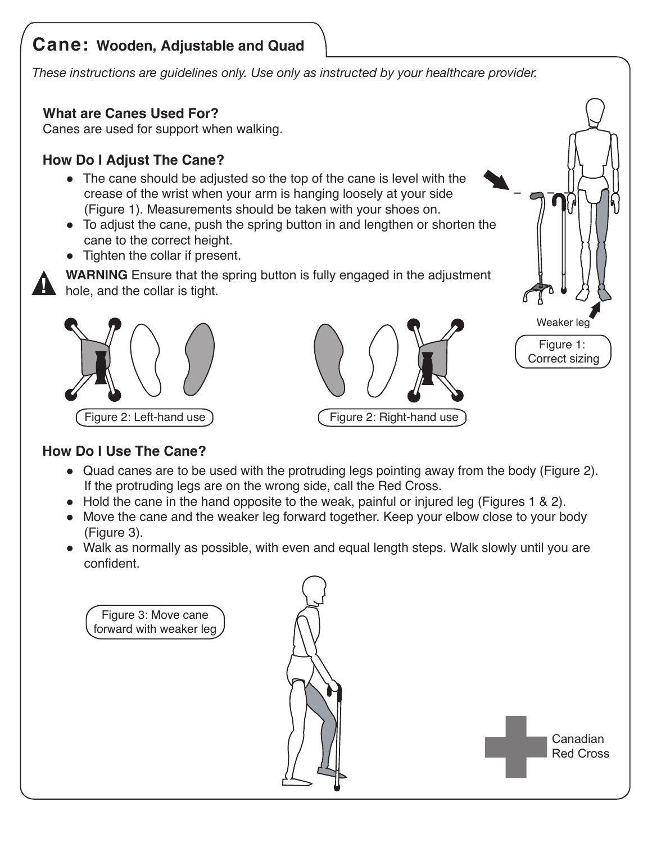# **Cane: Wooden, Adjustable and Quad**

*These instructions are guidelines only. Use only as instructed by your healthcare provider.*

# **What are Canes Used For?**

Canes are used for support when walking.

## **How Do I Adjust The Cane?**

- The cane should be adjusted so the top of the cane is level with the crease of the wrist when your arm is hanging loosely at your side (Figure 1). Measurements should be taken with your shoes on.
- To adjust the cane, push the spring button in and lengthen or shorten the cane to the correct height.
- Tighten the collar if present.



**WARNING** Ensure that the spring button is fully engaged in the adjustment hole, and the collar is tight.







## **How Do I Use The Cane?**

- Quad canes are to be used with the protruding legs pointing away from the body (Figure 2). If the protruding legs are on the wrong side, call the Red Cross.
- $\bullet$  Hold the cane in the hand opposite to the weak, painful or injured leg (Figures 1 & 2).
- Move the cane and the weaker leg forward together. Keep your elbow close to your body (Figure 3).
- Walk as normally as possible, with even and equal length steps. Walk slowly until you are confident.

Figure 3: Move cane forward with weaker leg